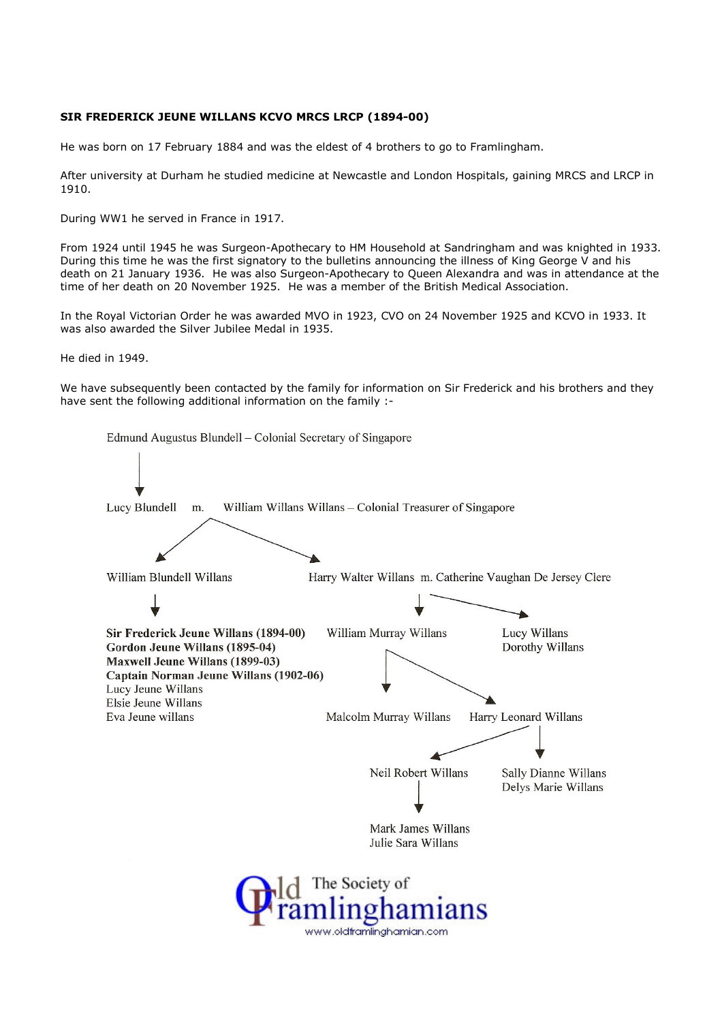## SIR FREDERICK JEUNE WILLANS KCVO MRCS LRCP (1894-00)

He was born on 17 February 1884 and was the eldest of 4 brothers to go to Framlingham.

After university at Durham he studied medicine at Newcastle and London Hospitals, gaining MRCS and LRCP in 1910.

During WW1 he served in France in 1917.

From 1924 until 1945 he was Surgeon-Apothecary to HM Household at Sandringham and was knighted in 1933. During this time he was the first signatory to the bulletins announcing the illness of King George V and his death on 21 January 1936. He was also Surgeon-Apothecary to Queen Alexandra and was in attendance at the time of her death on 20 November 1925. He was a member of the British Medical Association.

In the Royal Victorian Order he was awarded MVO in 1923, CVO on 24 November 1925 and KCVO in 1933. It was also awarded the Silver Jubilee Medal in 1935.

He died in 1949.

We have subsequently been contacted by the family for information on Sir Frederick and his brothers and they have sent the following additional information on the family :-